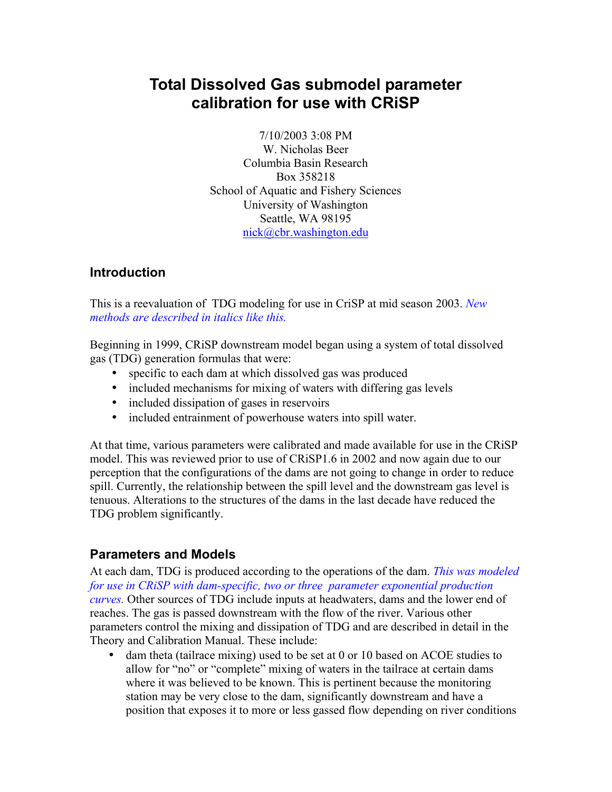# **Total Dissolved Gas submodel parameter calibration for use with CRiSP**

7/10/2003 3:08 PM W. Nicholas Beer Columbia Basin Research Box 358218 School of Aquatic and Fishery Sciences University of Washington Seattle, WA 98195 nick@cbr.washington.edu

# **Introduction**

This is a reevaluation of TDG modeling for use in CriSP at mid season 2003. *New methods are described in italics like this.*

Beginning in 1999, CRiSP downstream model began using a system of total dissolved gas (TDG) generation formulas that were:

- specific to each dam at which dissolved gas was produced
- included mechanisms for mixing of waters with differing gas levels
- included dissipation of gases in reservoirs
- included entrainment of powerhouse waters into spill water.

At that time, various parameters were calibrated and made available for use in the CRiSP model. This was reviewed prior to use of CRiSP1.6 in 2002 and now again due to our perception that the configurations of the dams are not going to change in order to reduce spill. Currently, the relationship between the spill level and the downstream gas level is tenuous. Alterations to the structures of the dams in the last decade have reduced the TDG problem significantly.

## **Parameters and Models**

At each dam, TDG is produced according to the operations of the dam. *This was modeled for use in CRiSP with dam-specific, two or three parameter exponential production curves.* Other sources of TDG include inputs at headwaters, dams and the lower end of reaches. The gas is passed downstream with the flow of the river. Various other parameters control the mixing and dissipation of TDG and are described in detail in the Theory and Calibration Manual. These include:

• dam theta (tailrace mixing) used to be set at 0 or 10 based on ACOE studies to allow for "no" or "complete" mixing of waters in the tailrace at certain dams where it was believed to be known. This is pertinent because the monitoring station may be very close to the dam, significantly downstream and have a position that exposes it to more or less gassed flow depending on river conditions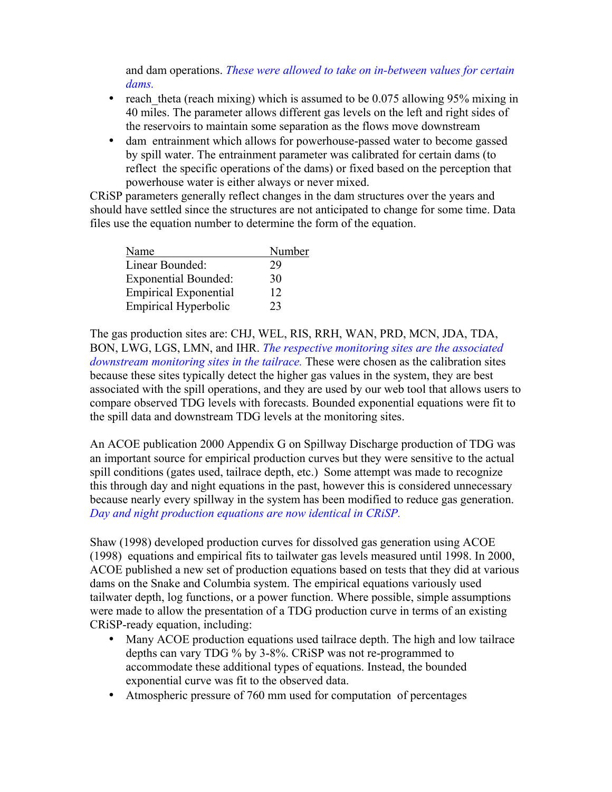and dam operations. *These were allowed to take on in-between values for certain dams.*

- reach theta (reach mixing) which is assumed to be 0.075 allowing 95% mixing in 40 miles. The parameter allows different gas levels on the left and right sides of the reservoirs to maintain some separation as the flows move downstream
- dam entrainment which allows for powerhouse-passed water to become gassed by spill water. The entrainment parameter was calibrated for certain dams (to reflect the specific operations of the dams) or fixed based on the perception that powerhouse water is either always or never mixed.

CRiSP parameters generally reflect changes in the dam structures over the years and should have settled since the structures are not anticipated to change for some time. Data files use the equation number to determine the form of the equation.

| Name                         | Number |
|------------------------------|--------|
| Linear Bounded:              | 29     |
| <b>Exponential Bounded:</b>  | 30     |
| <b>Empirical Exponential</b> | 12     |
| <b>Empirical Hyperbolic</b>  | 23     |

The gas production sites are: CHJ, WEL, RIS, RRH, WAN, PRD, MCN, JDA, TDA, BON, LWG, LGS, LMN, and IHR. *The respective monitoring sites are the associated downstream monitoring sites in the tailrace.* These were chosen as the calibration sites because these sites typically detect the higher gas values in the system, they are best associated with the spill operations, and they are used by our web tool that allows users to compare observed TDG levels with forecasts. Bounded exponential equations were fit to the spill data and downstream TDG levels at the monitoring sites.

An ACOE publication 2000 Appendix G on Spillway Discharge production of TDG was an important source for empirical production curves but they were sensitive to the actual spill conditions (gates used, tailrace depth, etc.) Some attempt was made to recognize this through day and night equations in the past, however this is considered unnecessary because nearly every spillway in the system has been modified to reduce gas generation. *Day and night production equations are now identical in CRiSP.*

Shaw (1998) developed production curves for dissolved gas generation using ACOE (1998) equations and empirical fits to tailwater gas levels measured until 1998. In 2000, ACOE published a new set of production equations based on tests that they did at various dams on the Snake and Columbia system. The empirical equations variously used tailwater depth, log functions, or a power function. Where possible, simple assumptions were made to allow the presentation of a TDG production curve in terms of an existing CRiSP-ready equation, including:

- Many ACOE production equations used tailrace depth. The high and low tailrace depths can vary TDG % by 3-8%. CRiSP was not re-programmed to accommodate these additional types of equations. Instead, the bounded exponential curve was fit to the observed data.
- Atmospheric pressure of 760 mm used for computation of percentages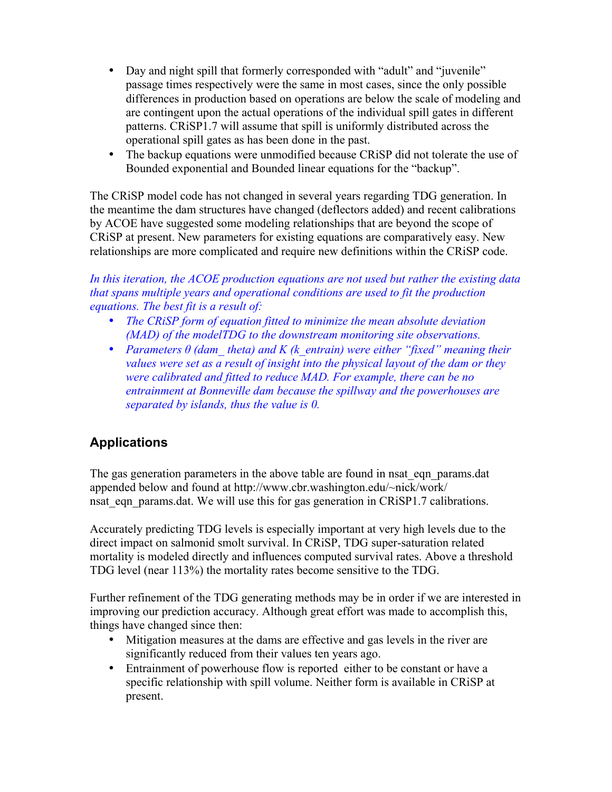- Day and night spill that formerly corresponded with "adult" and "juvenile" passage times respectively were the same in most cases, since the only possible differences in production based on operations are below the scale of modeling and are contingent upon the actual operations of the individual spill gates in different patterns. CRiSP1.7 will assume that spill is uniformly distributed across the operational spill gates as has been done in the past.
- The backup equations were unmodified because CRiSP did not tolerate the use of Bounded exponential and Bounded linear equations for the "backup".

The CRiSP model code has not changed in several years regarding TDG generation. In the meantime the dam structures have changed (deflectors added) and recent calibrations by ACOE have suggested some modeling relationships that are beyond the scope of CRiSP at present. New parameters for existing equations are comparatively easy. New relationships are more complicated and require new definitions within the CRiSP code.

#### *In this iteration, the ACOE production equations are not used but rather the existing data that spans multiple years and operational conditions are used to fit the production equations. The best fit is a result of:*

- *The CRiSP form of equation fitted to minimize the mean absolute deviation (MAD) of the modelTDG to the downstream monitoring site observations.*
- *Parameters θ (dam\_ theta) and K (k\_entrain) were either "fixed" meaning their values were set as a result of insight into the physical layout of the dam or they were calibrated and fitted to reduce MAD. For example, there can be no entrainment at Bonneville dam because the spillway and the powerhouses are separated by islands, thus the value is 0.*

# **Applications**

The gas generation parameters in the above table are found in nsat\_eqn\_params.dat appended below and found at http://www.cbr.washington.edu/~nick/work/ nsat eqn params.dat. We will use this for gas generation in CRiSP1.7 calibrations.

Accurately predicting TDG levels is especially important at very high levels due to the direct impact on salmonid smolt survival. In CRiSP, TDG super-saturation related mortality is modeled directly and influences computed survival rates. Above a threshold TDG level (near 113%) the mortality rates become sensitive to the TDG.

Further refinement of the TDG generating methods may be in order if we are interested in improving our prediction accuracy. Although great effort was made to accomplish this, things have changed since then:

- Mitigation measures at the dams are effective and gas levels in the river are significantly reduced from their values ten years ago.
- Entrainment of powerhouse flow is reported either to be constant or have a specific relationship with spill volume. Neither form is available in CRiSP at present.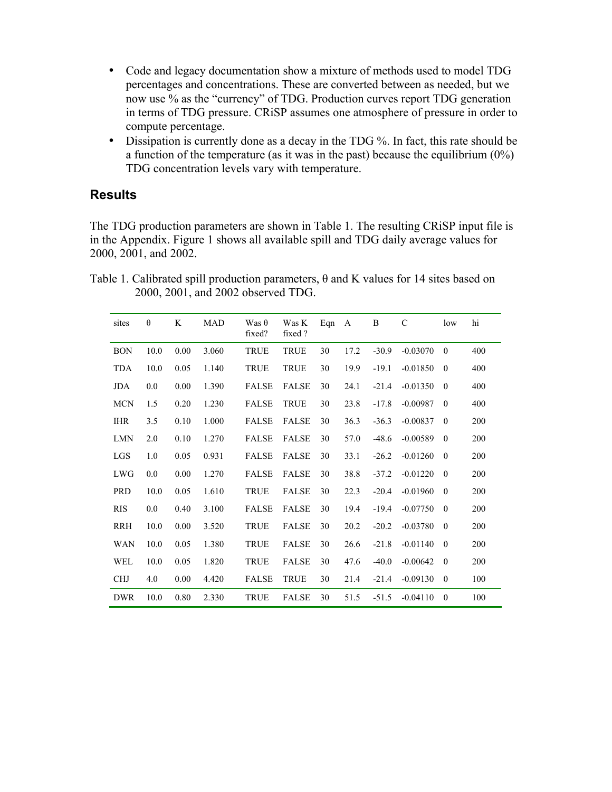- Code and legacy documentation show a mixture of methods used to model TDG percentages and concentrations. These are converted between as needed, but we now use % as the "currency" of TDG. Production curves report TDG generation in terms of TDG pressure. CRiSP assumes one atmosphere of pressure in order to compute percentage.
- Dissipation is currently done as a decay in the TDG %. In fact, this rate should be a function of the temperature (as it was in the past) because the equilibrium (0%) TDG concentration levels vary with temperature.

### **Results**

The TDG production parameters are shown in Table 1. The resulting CRiSP input file is in the Appendix. Figure 1 shows all available spill and TDG daily average values for 2000, 2001, and 2002.

Table 1. Calibrated spill production parameters,  $\theta$  and K values for 14 sites based on 2000, 2001, and 2002 observed TDG.

| sites      | $\theta$ | K    | <b>MAD</b> | Was $\theta$<br>fixed? | Was K<br>fixed? | Eqn | A    | B       | $\mathsf{C}$ | low            | hi  |
|------------|----------|------|------------|------------------------|-----------------|-----|------|---------|--------------|----------------|-----|
| <b>BON</b> | 10.0     | 0.00 | 3.060      | <b>TRUE</b>            | <b>TRUE</b>     | 30  | 17.2 | $-30.9$ | $-0.03070$   | $\theta$       | 400 |
| <b>TDA</b> | 10.0     | 0.05 | 1.140      | <b>TRUE</b>            | <b>TRUE</b>     | 30  | 19.9 | $-19.1$ | $-0.01850$   | $\theta$       | 400 |
| <b>JDA</b> | 0.0      | 0.00 | 1.390      | <b>FALSE</b>           | <b>FALSE</b>    | 30  | 24.1 | $-21.4$ | $-0.01350$   | $\theta$       | 400 |
| <b>MCN</b> | 1.5      | 0.20 | 1.230      | <b>FALSE</b>           | <b>TRUE</b>     | 30  | 23.8 | $-17.8$ | $-0.00987$   | $\mathbf{0}$   | 400 |
| <b>IHR</b> | 3.5      | 0.10 | 1.000      | <b>FALSE</b>           | <b>FALSE</b>    | 30  | 36.3 | $-36.3$ | $-0.00837$   | $\overline{0}$ | 200 |
| <b>LMN</b> | 2.0      | 0.10 | 1.270      | <b>FALSE</b>           | <b>FALSE</b>    | 30  | 57.0 | $-48.6$ | $-0.00589$   | $\theta$       | 200 |
| LGS        | 1.0      | 0.05 | 0.931      | <b>FALSE</b>           | <b>FALSE</b>    | 30  | 33.1 | $-26.2$ | $-0.01260$   | $\theta$       | 200 |
| LWG        | 0.0      | 0.00 | 1.270      | <b>FALSE</b>           | <b>FALSE</b>    | 30  | 38.8 | $-37.2$ | $-0.01220$   | $\mathbf{0}$   | 200 |
| <b>PRD</b> | 10.0     | 0.05 | 1.610      | <b>TRUE</b>            | <b>FALSE</b>    | 30  | 22.3 | $-20.4$ | $-0.01960$   | $\mathbf{0}$   | 200 |
| <b>RIS</b> | 0.0      | 0.40 | 3.100      | <b>FALSE</b>           | <b>FALSE</b>    | 30  | 19.4 | $-19.4$ | $-0.07750$   | $\mathbf{0}$   | 200 |
| RRH        | 10.0     | 0.00 | 3.520      | <b>TRUE</b>            | <b>FALSE</b>    | 30  | 20.2 | $-20.2$ | $-0.03780$   | $\mathbf{0}$   | 200 |
| WAN        | 10.0     | 0.05 | 1.380      | <b>TRUE</b>            | <b>FALSE</b>    | 30  | 26.6 | $-21.8$ | $-0.01140$   | $\theta$       | 200 |
| WEL        | 10.0     | 0.05 | 1.820      | <b>TRUE</b>            | <b>FALSE</b>    | 30  | 47.6 | $-40.0$ | $-0.00642$   | $\mathbf{0}$   | 200 |
| <b>CHJ</b> | 4.0      | 0.00 | 4.420      | <b>FALSE</b>           | <b>TRUE</b>     | 30  | 21.4 | $-21.4$ | $-0.09130$   | $\mathbf{0}$   | 100 |
| <b>DWR</b> | 10.0     | 0.80 | 2.330      | <b>TRUE</b>            | <b>FALSE</b>    | 30  | 51.5 | $-51.5$ | $-0.04110$   | $\mathbf{0}$   | 100 |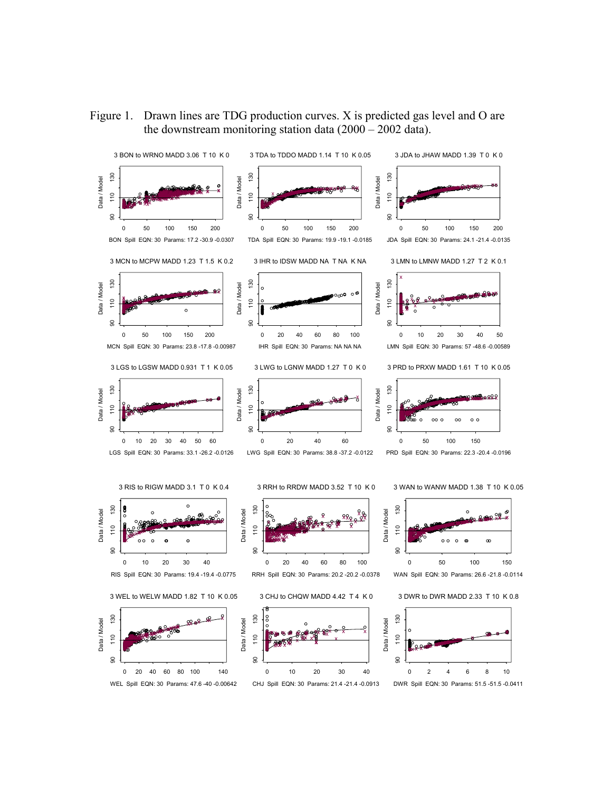



DWR Spill EQN: 30 Params: 51.5 -51.5 -0.0411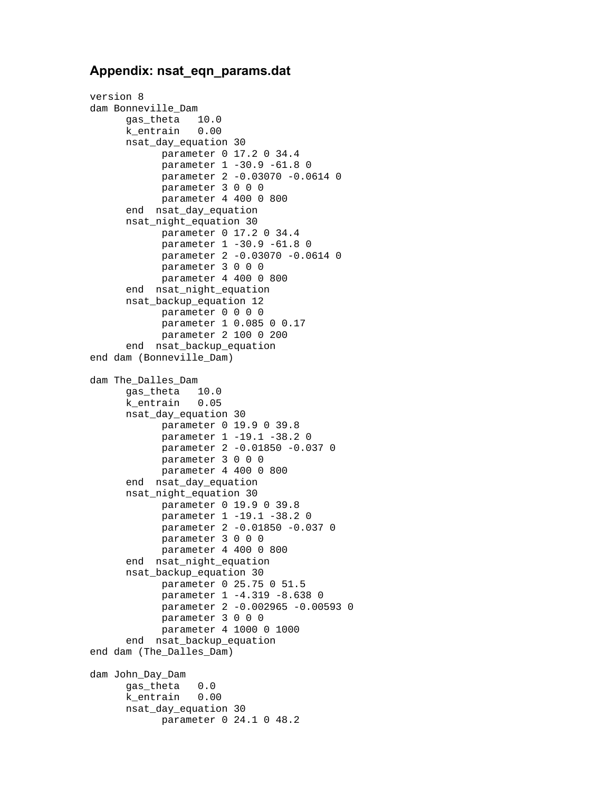#### **Appendix: nsat\_eqn\_params.dat**

```
version 8
dam Bonneville_Dam
     gas_theta 10.0
     k_entrain 0.00
     nsat_day_equation 30
           parameter 0 17.2 0 34.4
           parameter 1 -30.9 -61.8 0
           parameter 2 -0.03070 -0.0614 0
           parameter 3 0 0 0
           parameter 4 400 0 800
     end nsat_day_equation
     nsat_night_equation 30
           parameter 0 17.2 0 34.4
           parameter 1 -30.9 -61.8 0
           parameter 2 -0.03070 -0.0614 0
           parameter3000
           parameter 4 400 0 800
     end nsat_night_equation
     nsat_backup_equation 12
           parameter 0 0 0 0
           parameter 1 0.085 0 0.17
           parameter 2 100 0 200
     end nsat_backup_equation
end dam (Bonneville_Dam)
dam The_Dalles_Dam
     gas_theta 10.0
     k_entrain 0.05
     nsat_day_equation 30
           parameter 0 19.9 0 39.8
           parameter 1 -19.1 -38.2 0
           parameter 2 -0.01850 -0.037 0
           parameter3000
           parameter 4 400 0 800
     end nsat_day_equation
     nsat_night_equation 30
           parameter 0 19.9 0 39.8
           parameter 1 -19.1 -38.2 0
           parameter 2 -0.01850 -0.037 0
           parameter3000
           parameter 4 400 0 800
     end nsat_night_equation
     nsat_backup_equation 30
           parameter 0 25.75 0 51.5
           parameter 1 -4.319 -8.638 0
           parameter 2 -0.002965 -0.00593 0
           parameter 3 0 0 0
           parameter 4 1000 0 1000
     end nsat_backup_equation
end dam (The_Dalles_Dam)
dam John_Day_Dam
     gas_theta 0.0
     k_entrain 0.00
     nsat_day_equation 30
           parameter 0 24.1 0 48.2
```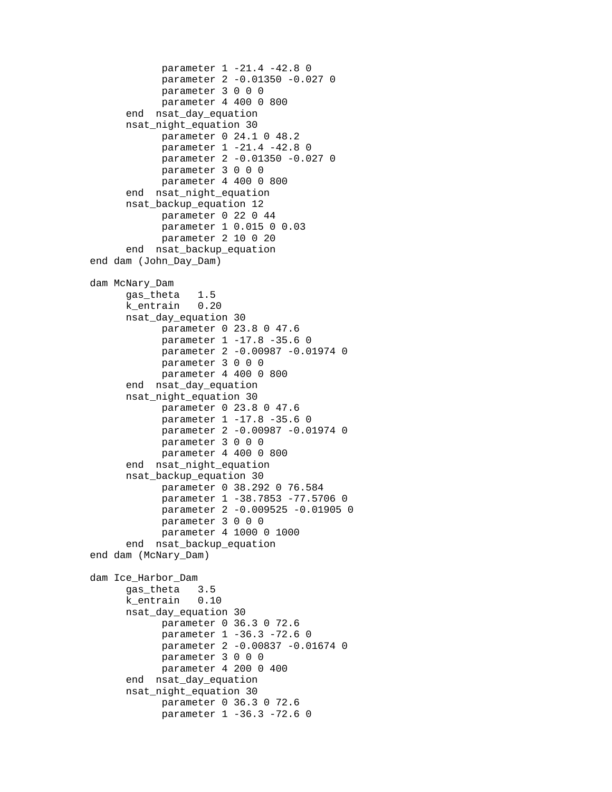```
parameter 1 -21.4 -42.8 0
            parameter 2 -0.01350 -0.027 0
           parameter3000
           parameter 4 400 0 800
     end nsat_day_equation
     nsat_night_equation 30
           parameter 0 24.1 0 48.2
           parameter 1 -21.4 -42.8 0
           parameter 2 -0.01350 -0.027 0
           parameter 3 0 0 0
           parameter 4 400 0 800
     end nsat_night_equation
     nsat_backup_equation 12
           parameter 0 22 0 44
           parameter 1 0.015 0 0.03
           parameter 2 10 0 20
      end nsat_backup_equation
end dam (John_Day_Dam)
dam McNary_Dam
     gas_theta 1.5
     k entrain 0.20nsat_day_equation 30
           parameter 0 23.8 0 47.6
           parameter 1 -17.8 -35.6 0
           parameter 2 -0.00987 -0.01974 0
           parameter 3 0 0 0
           parameter 4 400 0 800
     end nsat_day_equation
     nsat_night_equation 30
           parameter 0 23.8 0 47.6
           parameter 1 -17.8 -35.6 0
           parameter 2 -0.00987 -0.01974 0
           parameter 3 0 0 0
           parameter 4 400 0 800
     end nsat_night_equation
     nsat_backup_equation 30
           parameter 0 38.292 0 76.584
           parameter 1 -38.7853 -77.5706 0
           parameter 2 -0.009525 -0.01905 0
           parameter 3 0 0 0
           parameter 4 1000 0 1000
      end nsat_backup_equation
end dam (McNary_Dam)
dam Ice_Harbor_Dam
     gas_theta 3.5
     k_entrain 0.10
     nsat_day_equation 30
           parameter 0 36.3 0 72.6
           parameter 1 -36.3 -72.6 0
           parameter 2 -0.00837 -0.01674 0
           parameter 3 0 0 0
           parameter 4 200 0 400
     end nsat_day_equation
     nsat_night_equation 30
           parameter 0 36.3 0 72.6
           parameter 1 -36.3 -72.6 0
```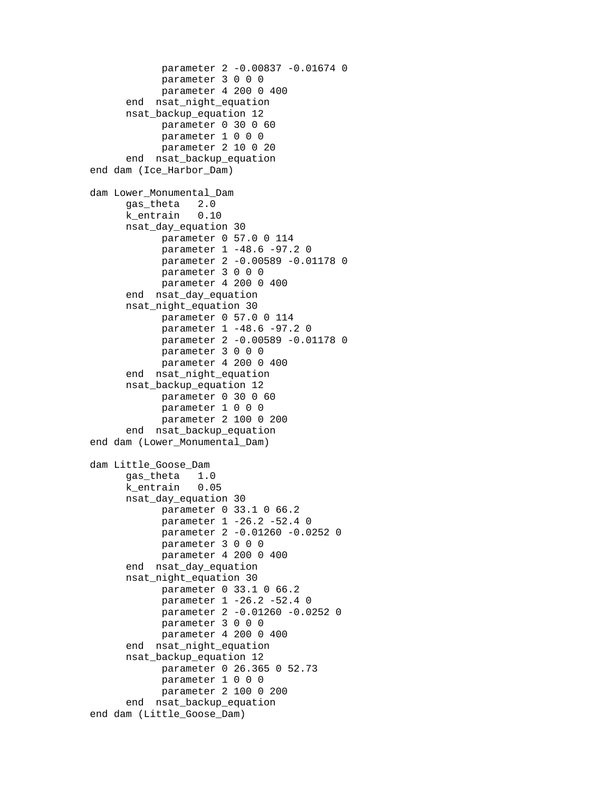```
parameter 2 -0.00837 -0.01674 0
           parameter 3 0 0 0
           parameter 4 200 0 400
      end nsat_night_equation
     nsat_backup_equation 12
           parameter 0 30 0 60
           parameter 1 0 0 0
           parameter 2 10 0 20
      end nsat_backup_equation
end dam (Ice_Harbor_Dam)
dam Lower_Monumental_Dam
     gas_theta 2.0
     k_entrain 0.10
     nsat_day_equation 30
           parameter 0 57.0 0 114
           parameter 1 -48.6 -97.2 0
           parameter 2 -0.00589 -0.01178 0
           parameter 3 0 0 0
           parameter 4 200 0 400
      end nsat_day_equation
     nsat_night_equation 30
           parameter 0 57.0 0 114
           parameter 1 -48.6 -97.2 0
           parameter 2 -0.00589 -0.01178 0
           parameter3000
           parameter 4 200 0 400
     end nsat_night_equation
     nsat_backup_equation 12
           parameter 0 30 0 60
           parameter 1 0 0 0
           parameter 2 100 0 200
     end nsat_backup_equation
end dam (Lower_Monumental_Dam)
dam Little_Goose_Dam
     gas_theta 1.0
     k_entrain 0.05
     nsat_day_equation 30
           parameter 0 33.1 0 66.2
           parameter 1 -26.2 -52.4 0
           parameter 2 -0.01260 -0.0252 0
           parameter 3 0 0 0
           parameter 4 200 0 400
     end nsat_day_equation
     nsat_night_equation 30
           parameter 0 33.1 0 66.2
           parameter 1 -26.2 -52.4 0
           parameter 2 -0.01260 -0.0252 0
           parameter 3 0 0 0
           parameter 4 200 0 400
     end nsat_night_equation
     nsat_backup_equation 12
           parameter 0 26.365 0 52.73
           parameter 1 0 0 0
           parameter 2 100 0 200
      end nsat_backup_equation
end dam (Little_Goose_Dam)
```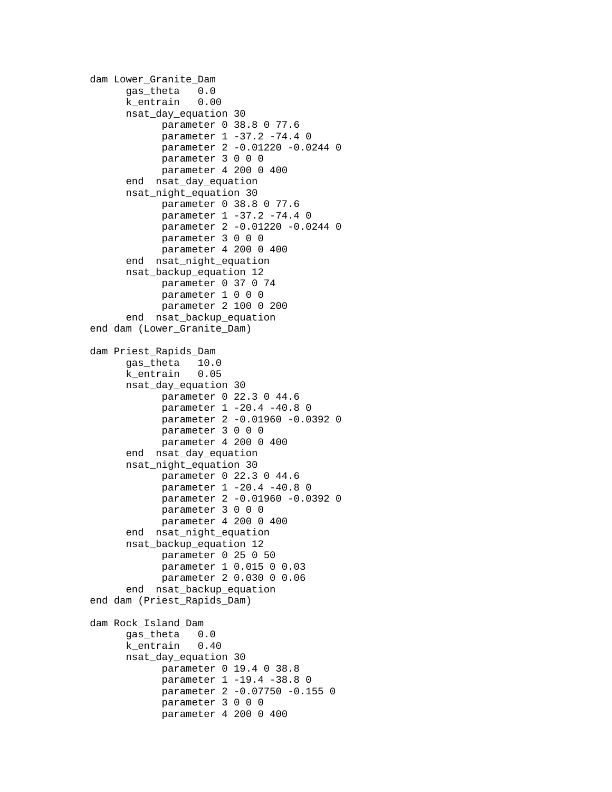```
dam Lower_Granite_Dam
      gas_theta 0.0
      k_entrain 0.00
      nsat_day_equation 30
            parameter 0 38.8 0 77.6
            parameter 1 -37.2 -74.4 0
            parameter 2 -0.01220 -0.0244 0
            parameter 3 0 0 0
            parameter 4 200 0 400
      end nsat_day_equation
      nsat_night_equation 30
            parameter 0 38.8 0 77.6
            parameter 1 -37.2 -74.4 0
            parameter 2 -0.01220 -0.0244 0
            parameter 3 0 0 0
            parameter 4 200 0 400
      end nsat night equation
      nsat_backup_equation 12
            parameter 0 37 0 74
            parameter 1 0 0 0
            parameter 2 100 0 200
      end nsat_backup_equation
end dam (Lower_Granite_Dam)
dam Priest_Rapids_Dam
      gas_theta 10.0<br>k entrain 0.05
      k_entrain
      nsat_day_equation 30
            parameter 0 22.3 0 44.6
            parameter 1 -20.4 -40.8 0
            parameter 2 -0.01960 -0.0392 0
            parameter 3 0 0 0
            parameter 4 200 0 400
      end nsat_day_equation
      nsat_night_equation 30
            parameter 0 22.3 0 44.6
            parameter 1 -20.4 -40.8 0
            parameter 2 -0.01960 -0.0392 0
            parameter3000
            parameter 4 200 0 400
      end nsat_night_equation
      nsat_backup_equation 12
            parameter 0 25 0 50
            parameter 1 0.015 0 0.03
            parameter 2 0.030 0 0.06
      end nsat_backup_equation
end dam (Priest_Rapids_Dam)
dam Rock_Island_Dam
      gas_theta 0.0
      k_entrain 0.40
      nsat_day_equation 30
            parameter 0 19.4 0 38.8
            parameter 1 -19.4 -38.8 0
            parameter 2 -0.07750 -0.155 0
            parameter 3 0 0 0
            parameter 4 200 0 400
```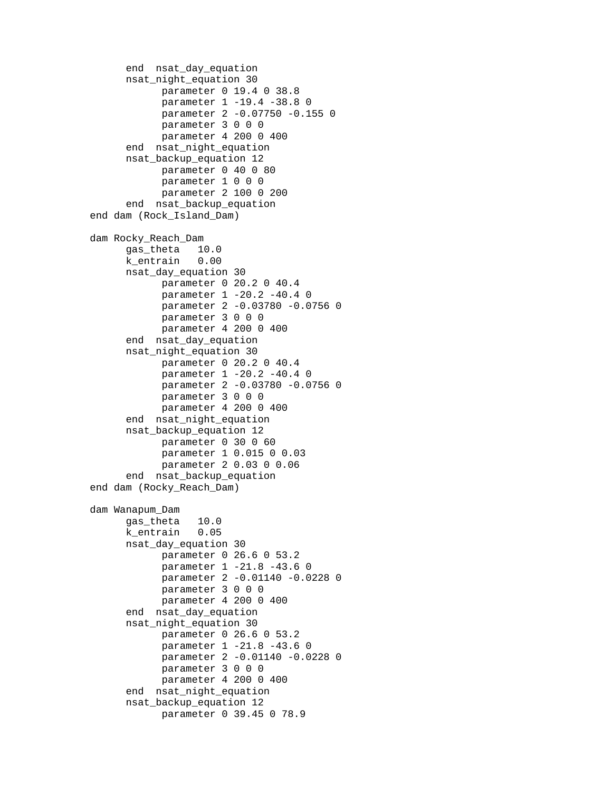```
end nsat_day_equation
     nsat_night_equation 30
            parameter 0 19.4 0 38.8
            parameter 1 -19.4 -38.8 0
            parameter 2 -0.07750 -0.155 0
            parameter 3 0 0 0
            parameter 4 200 0 400
      end nsat_night_equation
     nsat_backup_equation 12
            parameter 0 40 0 80
            parameter 1 0 0 0
            parameter 2 100 0 200
     end nsat_backup_equation
end dam (Rock_Island_Dam)
dam Rocky_Reach_Dam
     gas_theta 10.0
     k_entrain 0.00
     nsat_day_equation 30
           parameter 0 20.2 0 40.4
            parameter 1 -20.2 -40.4 0
            parameter 2 -0.03780 -0.0756 0
            parameter3000
            parameter 4 200 0 400
     end nsat_day_equation
     nsat_night_equation 30
            parameter 0 20.2 0 40.4
            parameter 1 -20.2 -40.4 0
            parameter 2 -0.03780 -0.0756 0
            parameter 3 0 0 0
            parameter 4 200 0 400
     end nsat night equation
     nsat_backup_equation 12
            parameter 0 30 0 60
            parameter 1 0.015 0 0.03
            parameter 2 0.03 0 0.06
     end nsat_backup_equation
end dam (Rocky_Reach_Dam)
dam Wanapum_Dam
     gas_theta 10.0<br>k entrain 0.05
     k_entrain
     nsat_day_equation 30
            parameter 0 26.6 0 53.2
            parameter 1 -21.8 -43.6 0
            parameter 2 -0.01140 -0.0228 0
            parameter 3 0 0 0
            parameter 4 200 0 400
      end nsat_day_equation
     nsat_night_equation 30
           parameter 0 26.6 0 53.2
            parameter 1 -21.8 -43.6 0
            parameter 2 -0.01140 -0.0228 0
           parameter3000
            parameter 4 200 0 400
      end nsat_night_equation
     nsat_backup_equation 12
            parameter 0 39.45 0 78.9
```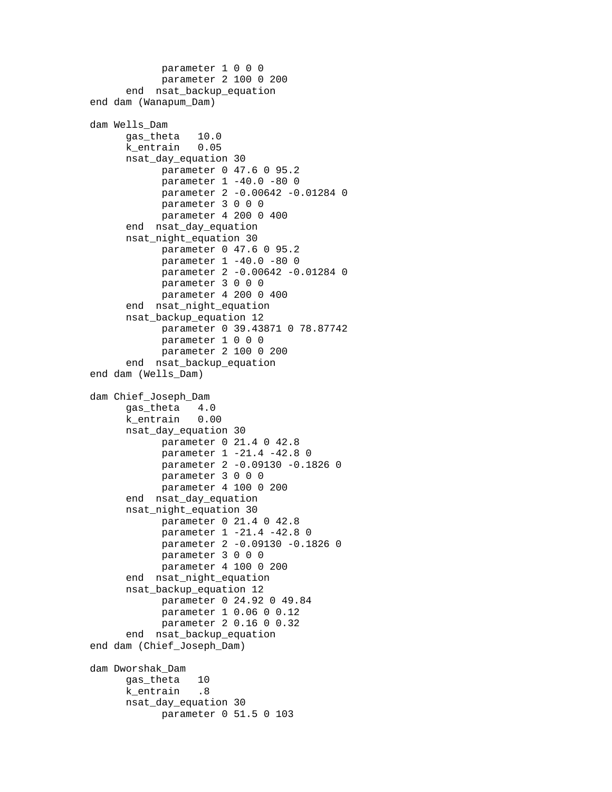```
parameter 1 0 0 0
           parameter 2 100 0 200
      end nsat_backup_equation
end dam (Wanapum_Dam)
dam Wells_Dam
     gas_theta 10.0
     k_entrain 0.05
     nsat_day_equation 30
           parameter 0 47.6 0 95.2
           parameter 1 -40.0 -80 0
           parameter 2 -0.00642 -0.01284 0
           parameter 3 0 0 0
           parameter 4 200 0 400
     end nsat_day_equation
     nsat_night_equation 30
           parameter 0 47.6 0 95.2
           parameter 1 -40.0 -80 0
           parameter 2 -0.00642 -0.01284 0
           parameter 3 0 0 0
           parameter 4 200 0 400
      end nsat_night_equation
     nsat_backup_equation 12
           parameter 0 39.43871 0 78.87742
           parameter 1 0 0 0
           parameter 2 100 0 200
     end nsat_backup_equation
end dam (Wells_Dam)
dam Chief_Joseph_Dam
     gas_theta 4.0
     k_entrain 0.00
     nsat_day_equation 30
           parameter 0 21.4 0 42.8
           parameter 1 -21.4 -42.8 0
           parameter 2 -0.09130 -0.1826 0
           parameter 3 0 0 0
           parameter 4 100 0 200
      end nsat_day_equation
     nsat_night_equation 30
           parameter 0 21.4 0 42.8
           parameter 1 -21.4 -42.8 0
           parameter 2 -0.09130 -0.1826 0
           parameter 3 0 0 0
           parameter 4 100 0 200
     end nsat_night_equation
     nsat_backup_equation 12
           parameter 0 24.92 0 49.84
            parameter 1 0.06 0 0.12
           parameter 2 0.16 0 0.32
     end nsat_backup_equation
end dam (Chief_Joseph_Dam)
dam Dworshak_Dam
     gas_theta 10
     k_entrain .8
     nsat_day_equation 30
           parameter 0 51.5 0 103
```